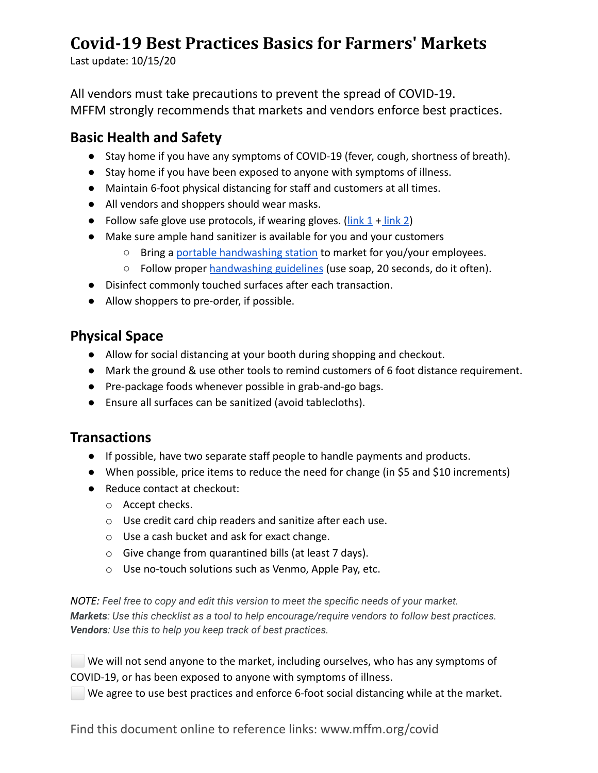# **Covid-19 Best Practices Basics for Farmers' Markets**

Last update: 10/15/20

All vendors must take precautions to prevent the spread of COVID-19. MFFM strongly recommends that markets and vendors enforce best practices.

### **Basic Health and Safety**

- Stay home if you have any symptoms of COVID-19 (fever, cough, shortness of breath).
- Stay home if you have been exposed to anyone with symptoms of illness.
- Maintain 6-foot physical distancing for staff and customers at all times.
- All vendors and shoppers should wear masks.
- Follow safe glove use protocols, if wearing gloves. (link  $1 +$  [link 2](https://www.thejakartapost.com/life/2020/04/11/dos-and-donts-of-wearing-gloves-to-avoid-covid-19-transmission.html))
- Make sure ample hand sanitizer is available for you and your customers
	- Bring a [portable handwashing station](http://www.mainefarmersmarkets.org/hand-washing-stations-a-simple-how-to/) to market for you/your employees.
	- Follow proper [handwashing guidelines](https://www.cdc.gov/handwashing/when-how-handwashing.html) (use soap, 20 seconds, do it often).
- Disinfect commonly touched surfaces after each transaction.
- Allow shoppers to pre-order, if possible.

### **Physical Space**

- Allow for social distancing at your booth during shopping and checkout.
- Mark the ground & use other tools to remind customers of 6 foot distance requirement.
- Pre-package foods whenever possible in grab-and-go bags.
- Ensure all surfaces can be sanitized (avoid tablecloths).

### **Transactions**

- If possible, have two separate staff people to handle payments and products.
- When possible, price items to reduce the need for change (in \$5 and \$10 increments)
- Reduce contact at checkout:
	- o Accept checks.
	- o Use credit card chip readers and sanitize after each use.
	- o Use a cash bucket and ask for exact change.
	- o Give change from quarantined bills (at least 7 days).
	- o Use no-touch solutions such as Venmo, Apple Pay, etc.

*NOTE: Feel free to copy and edit this version to meet the specific needs of your market. Markets: Use this checklist as a tool to help encourage/require vendors to follow best practices. Vendors: Use this to help you keep track of best practices.*

⬜ We will not send anyone to the market, including ourselves, who has any symptoms of COVID-19, or has been exposed to anyone with symptoms of illness.

⬜ We agree to use best practices and enforce 6-foot social distancing while at the market.